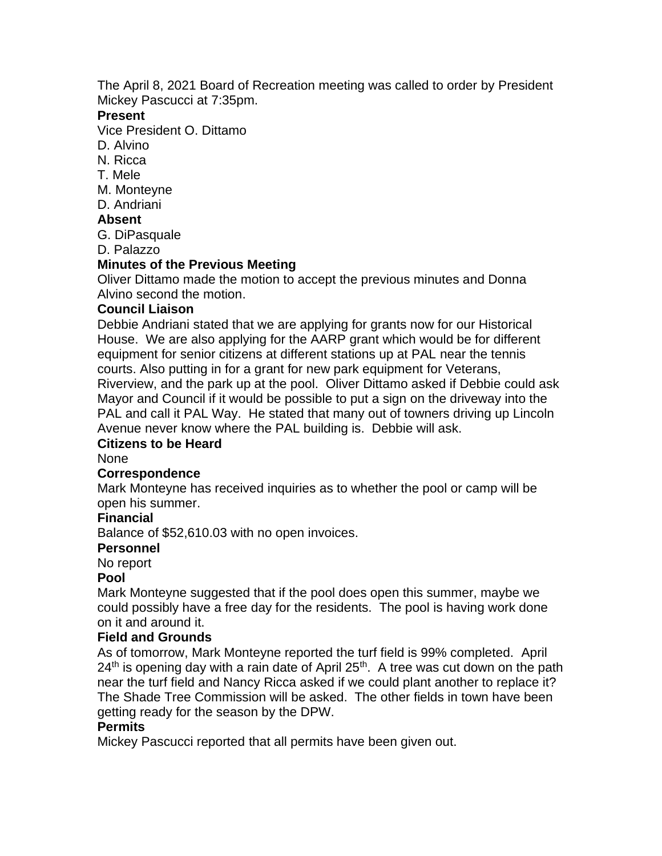The April 8, 2021 Board of Recreation meeting was called to order by President Mickey Pascucci at 7:35pm.

### **Present**

Vice President O. Dittamo

- D. Alvino
- N. Ricca
- T. Mele
- M. Monteyne
- D. Andriani

## **Absent**

G. DiPasquale

D. Palazzo

## **Minutes of the Previous Meeting**

Oliver Dittamo made the motion to accept the previous minutes and Donna Alvino second the motion.

## **Council Liaison**

Debbie Andriani stated that we are applying for grants now for our Historical House. We are also applying for the AARP grant which would be for different equipment for senior citizens at different stations up at PAL near the tennis courts. Also putting in for a grant for new park equipment for Veterans, Riverview, and the park up at the pool. Oliver Dittamo asked if Debbie could ask Mayor and Council if it would be possible to put a sign on the driveway into the PAL and call it PAL Way. He stated that many out of towners driving up Lincoln Avenue never know where the PAL building is. Debbie will ask.

### **Citizens to be Heard**

### None

### **Correspondence**

Mark Monteyne has received inquiries as to whether the pool or camp will be open his summer.

### **Financial**

Balance of \$52,610.03 with no open invoices.

### **Personnel**

No report

### **Pool**

Mark Monteyne suggested that if the pool does open this summer, maybe we could possibly have a free day for the residents. The pool is having work done on it and around it.

### **Field and Grounds**

As of tomorrow, Mark Monteyne reported the turf field is 99% completed. April  $24<sup>th</sup>$  is opening day with a rain date of April  $25<sup>th</sup>$ . A tree was cut down on the path near the turf field and Nancy Ricca asked if we could plant another to replace it? The Shade Tree Commission will be asked. The other fields in town have been getting ready for the season by the DPW.

# **Permits**

Mickey Pascucci reported that all permits have been given out.